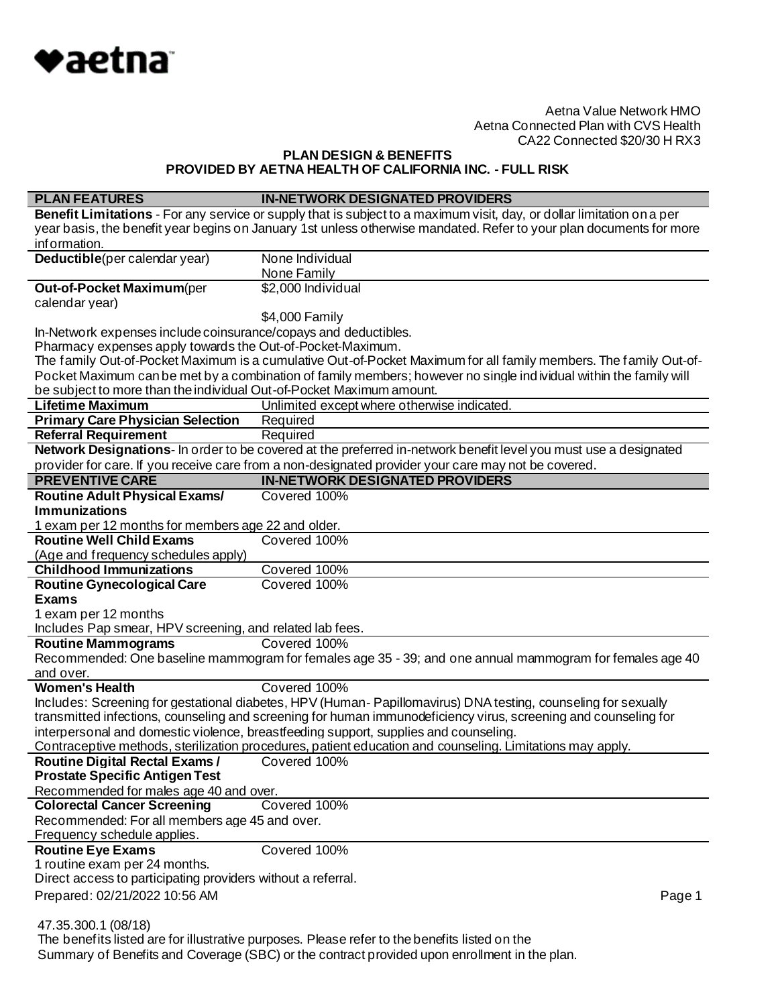

# **PLAN DESIGN & BENEFITS PROVIDED BY AETNA HEALTH OF CALIFORNIA INC. - FULL RISK**

| <b>PLAN FEATURES</b>                                                                                                                                                                                                             | <b>IN-NETWORK DESIGNATED PROVIDERS</b>                                                                                 |  |
|----------------------------------------------------------------------------------------------------------------------------------------------------------------------------------------------------------------------------------|------------------------------------------------------------------------------------------------------------------------|--|
|                                                                                                                                                                                                                                  | Benefit Limitations - For any service or supply that is subject to a maximum visit, day, or dollar limitation on a per |  |
|                                                                                                                                                                                                                                  | year basis, the benefit year begins on January 1st unless otherwise mandated. Refer to your plan documents for more    |  |
| information.                                                                                                                                                                                                                     |                                                                                                                        |  |
| Deductible(per calendar year)                                                                                                                                                                                                    | None Individual                                                                                                        |  |
|                                                                                                                                                                                                                                  | None Family                                                                                                            |  |
| Out-of-Pocket Maximum(per                                                                                                                                                                                                        | \$2,000 Individual                                                                                                     |  |
| calendar year)                                                                                                                                                                                                                   |                                                                                                                        |  |
|                                                                                                                                                                                                                                  | \$4,000 Family                                                                                                         |  |
| In-Network expenses include coinsurance/copays and deductibles.                                                                                                                                                                  |                                                                                                                        |  |
| Pharmacy expenses apply towards the Out-of-Pocket-Maximum.                                                                                                                                                                       |                                                                                                                        |  |
|                                                                                                                                                                                                                                  | The family Out-of-Pocket Maximum is a cumulative Out-of-Pocket Maximum for all family members. The family Out-of-      |  |
|                                                                                                                                                                                                                                  | Pocket Maximum can be met by a combination of family members; however no single ind ividual within the family will     |  |
| be subject to more than the individual Out-of-Pocket Maximum amount.                                                                                                                                                             |                                                                                                                        |  |
| <b>Lifetime Maximum</b>                                                                                                                                                                                                          | Unlimited except where otherwise indicated.                                                                            |  |
| <b>Primary Care Physician Selection</b>                                                                                                                                                                                          | Required                                                                                                               |  |
| <b>Referral Requirement</b>                                                                                                                                                                                                      | Required                                                                                                               |  |
|                                                                                                                                                                                                                                  | Network Designations- In order to be covered at the preferred in-network benefit level you must use a designated       |  |
|                                                                                                                                                                                                                                  | provider for care. If you receive care from a non-designated provider your care may not be covered.                    |  |
| <b>PREVENTIVE CARE</b>                                                                                                                                                                                                           | <b>IN-NETWORK DESIGNATED PROVIDERS</b>                                                                                 |  |
| <b>Routine Adult Physical Exams/</b>                                                                                                                                                                                             | Covered 100%                                                                                                           |  |
| <b>Immunizations</b>                                                                                                                                                                                                             |                                                                                                                        |  |
| 1 exam per 12 months for members age 22 and older.                                                                                                                                                                               |                                                                                                                        |  |
| <b>Routine Well Child Exams</b>                                                                                                                                                                                                  | Covered 100%                                                                                                           |  |
| (Age and frequency schedules apply)                                                                                                                                                                                              |                                                                                                                        |  |
| <b>Childhood Immunizations</b>                                                                                                                                                                                                   | Covered 100%<br>Covered 100%                                                                                           |  |
| <b>Routine Gynecological Care</b>                                                                                                                                                                                                |                                                                                                                        |  |
| <b>Exams</b>                                                                                                                                                                                                                     |                                                                                                                        |  |
| 1 exam per 12 months                                                                                                                                                                                                             |                                                                                                                        |  |
| Includes Pap smear, HPV screening, and related lab fees.<br><b>Routine Mammograms</b>                                                                                                                                            | Covered 100%                                                                                                           |  |
|                                                                                                                                                                                                                                  |                                                                                                                        |  |
| and over.                                                                                                                                                                                                                        | Recommended: One baseline mammogram for females age 35 - 39; and one annual mammogram for females age 40               |  |
| <b>Women's Health</b>                                                                                                                                                                                                            | Covered 100%                                                                                                           |  |
|                                                                                                                                                                                                                                  |                                                                                                                        |  |
| Includes: Screening for gestational diabetes, HPV (Human-Papillomavirus) DNA testing, counseling for sexually<br>transmitted infections, counseling and screening for human immunodeficiency virus, screening and counseling for |                                                                                                                        |  |
| interpersonal and domestic violence, breastfeeding support, supplies and counseling.                                                                                                                                             |                                                                                                                        |  |
|                                                                                                                                                                                                                                  | Contraceptive methods, sterilization procedures, patient education and counseling. Limitations may apply.              |  |
| <b>Routine Digital Rectal Exams /</b><br>Covered 100%                                                                                                                                                                            |                                                                                                                        |  |
| <b>Prostate Specific Antigen Test</b>                                                                                                                                                                                            |                                                                                                                        |  |
| Recommended for males age 40 and over.                                                                                                                                                                                           |                                                                                                                        |  |
| <b>Colorectal Cancer Screening</b>                                                                                                                                                                                               | Covered 100%                                                                                                           |  |
| Recommended: For all members age 45 and over.                                                                                                                                                                                    |                                                                                                                        |  |
| Frequency schedule applies.                                                                                                                                                                                                      |                                                                                                                        |  |
| <b>Routine Eye Exams</b>                                                                                                                                                                                                         | Covered 100%                                                                                                           |  |
| 1 routine exam per 24 months.                                                                                                                                                                                                    |                                                                                                                        |  |
| Direct access to participating providers without a referral.                                                                                                                                                                     |                                                                                                                        |  |
| Prepared: 02/21/2022 10:56 AM                                                                                                                                                                                                    | Page 1                                                                                                                 |  |
|                                                                                                                                                                                                                                  |                                                                                                                        |  |
| 47.35.300.1 (08/18)                                                                                                                                                                                                              |                                                                                                                        |  |
|                                                                                                                                                                                                                                  | The benefits listed are for illustrative purposes. Please refer to the benefits listed on the                          |  |

Summary of Benefits and Coverage (SBC) or the contract provided upon enrollment in the plan.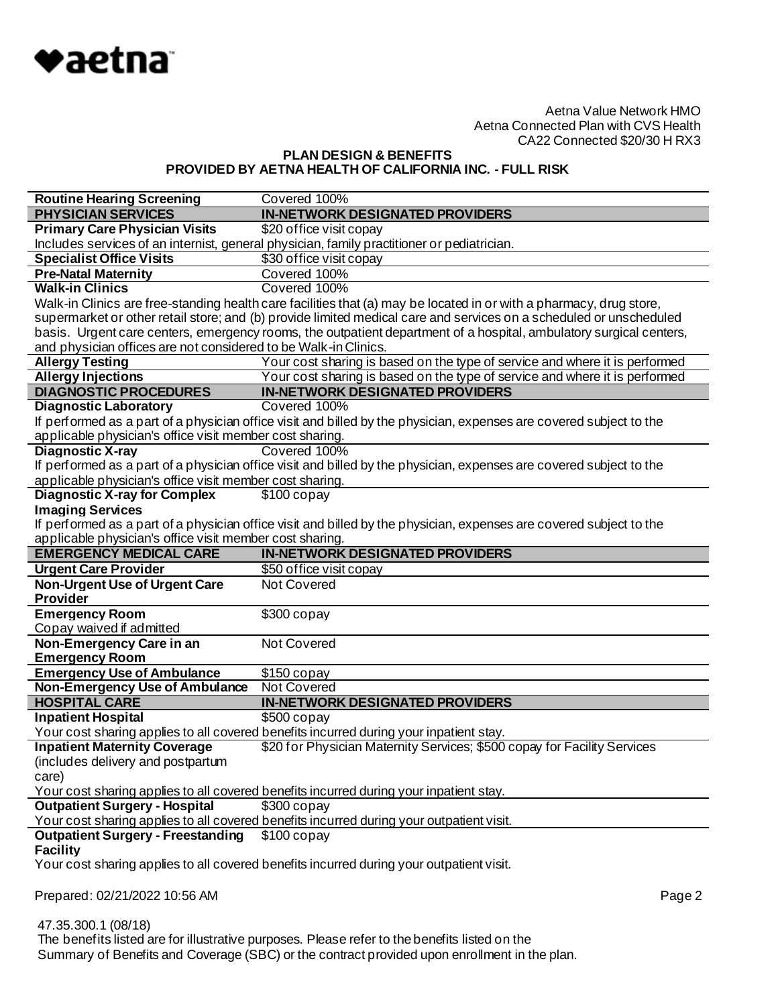

# **PLAN DESIGN & BENEFITS PROVIDED BY AETNA HEALTH OF CALIFORNIA INC. - FULL RISK**

| <b>Routine Hearing Screening</b>                                | Covered 100%                                                                                                        |
|-----------------------------------------------------------------|---------------------------------------------------------------------------------------------------------------------|
| <b>PHYSICIAN SERVICES</b>                                       | <b>IN-NETWORK DESIGNATED PROVIDERS</b>                                                                              |
| <b>Primary Care Physician Visits</b>                            | \$20 office visit copay                                                                                             |
|                                                                 | Includes services of an internist, general physician, family practitioner or pediatrician.                          |
| <b>Specialist Office Visits</b>                                 | \$30 office visit copay                                                                                             |
| <b>Pre-Natal Maternity</b>                                      | Covered 100%                                                                                                        |
| <b>Walk-in Clinics</b>                                          | Covered 100%                                                                                                        |
|                                                                 | Walk-in Clinics are free-standing health care facilities that (a) may be located in or with a pharmacy, drug store, |
|                                                                 | supermarket or other retail store; and (b) provide limited medical care and services on a scheduled or unscheduled  |
|                                                                 | basis. Urgent care centers, emergency rooms, the outpatient department of a hospital, ambulatory surgical centers,  |
| and physician offices are not considered to be Walk-in Clinics. |                                                                                                                     |
| <b>Allergy Testing</b>                                          | Your cost sharing is based on the type of service and where it is performed                                         |
| <b>Allergy Injections</b>                                       | Your cost sharing is based on the type of service and where it is performed                                         |
| <b>DIAGNOSTIC PROCEDURES</b>                                    | <b>IN-NETWORK DESIGNATED PROVIDERS</b>                                                                              |
| <b>Diagnostic Laboratory</b>                                    | Covered 100%                                                                                                        |
|                                                                 | If performed as a part of a physician office visit and billed by the physician, expenses are covered subject to the |
| applicable physician's office visit member cost sharing.        |                                                                                                                     |
| <b>Diagnostic X-ray</b>                                         | Covered 100%                                                                                                        |
|                                                                 | If performed as a part of a physician office visit and billed by the physician, expenses are covered subject to the |
| applicable physician's office visit member cost sharing.        |                                                                                                                     |
| <b>Diagnostic X-ray for Complex</b>                             | $$100$ copay                                                                                                        |
| <b>Imaging Services</b>                                         |                                                                                                                     |
|                                                                 | If performed as a part of a physician office visit and billed by the physician, expenses are covered subject to the |
| applicable physician's office visit member cost sharing.        |                                                                                                                     |
|                                                                 |                                                                                                                     |
| <b>EMERGENCY MEDICAL CARE</b>                                   | <b>IN-NETWORK DESIGNATED PROVIDERS</b>                                                                              |
| <b>Urgent Care Provider</b>                                     | \$50 office visit copay                                                                                             |
| <b>Non-Urgent Use of Urgent Care</b>                            | <b>Not Covered</b>                                                                                                  |
| <b>Provider</b>                                                 |                                                                                                                     |
| <b>Emergency Room</b>                                           | \$300 copay                                                                                                         |
| Copay waived if admitted                                        |                                                                                                                     |
| Non-Emergency Care in an                                        | Not Covered                                                                                                         |
| <b>Emergency Room</b>                                           |                                                                                                                     |
| <b>Emergency Use of Ambulance</b>                               | $$150$ copay                                                                                                        |
| <b>Non-Emergency Use of Ambulance</b>                           | <b>Not Covered</b>                                                                                                  |
| <b>HOSPITAL CARE</b>                                            | <b>IN-NETWORK DESIGNATED PROVIDERS</b>                                                                              |
| <b>Inpatient Hospital</b>                                       | $$500$ copay                                                                                                        |
|                                                                 | Your cost sharing applies to all covered benefits incurred during your inpatient stay.                              |
| <b>Inpatient Maternity Coverage</b>                             | \$20 for Physician Maternity Services; \$500 copay for Facility Services                                            |
| (includes delivery and postpartum                               |                                                                                                                     |
| care)                                                           |                                                                                                                     |
|                                                                 | Your cost sharing applies to all covered benefits incurred during your inpatient stay.                              |
| <b>Outpatient Surgery - Hospital</b>                            | $$300$ copay                                                                                                        |
|                                                                 | Your cost sharing applies to all covered benefits incurred during your outpatient visit.                            |
| <b>Outpatient Surgery - Freestanding</b>                        | $$100$ copay                                                                                                        |
| <b>Facility</b>                                                 |                                                                                                                     |
|                                                                 | Your cost sharing applies to all covered benefits incurred during your outpatient visit.                            |
| Prepared: 02/21/2022 10:56 AM                                   | Page 2                                                                                                              |

 47.35.300.1 (08/18) The benefits listed are for illustrative purposes. Please refer to the benefits listed on the Summary of Benefits and Coverage (SBC) or the contract provided upon enrollment in the plan.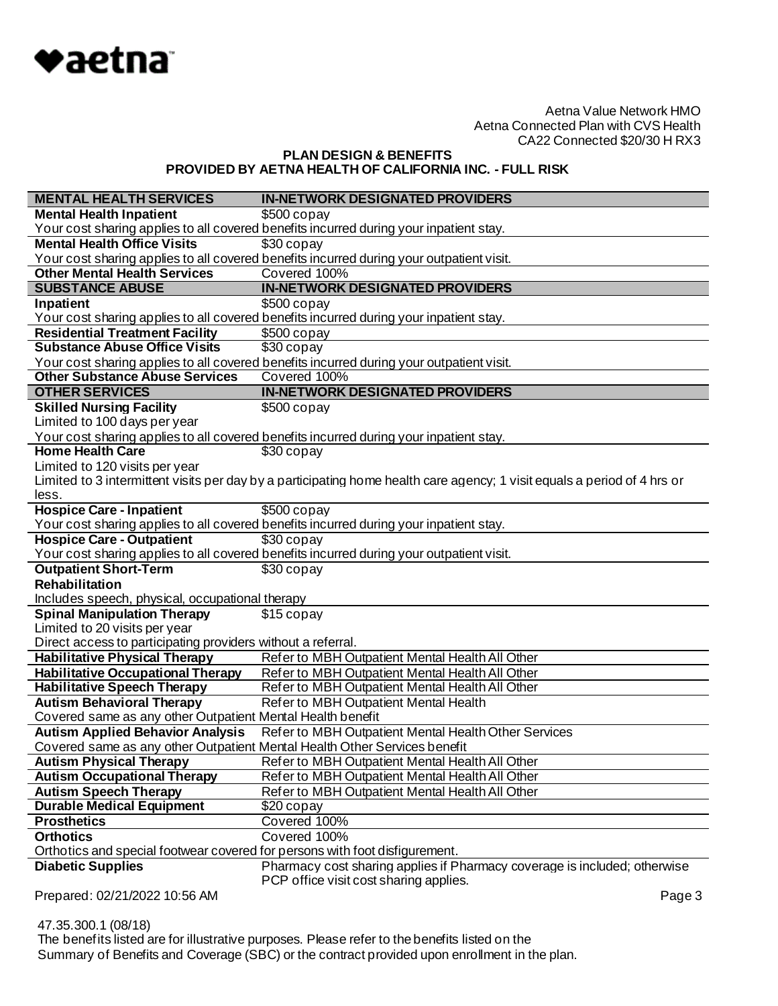

**PLAN DESIGN & BENEFITS PROVIDED BY AETNA HEALTH OF CALIFORNIA INC. - FULL RISK**

| <b>MENTAL HEALTH SERVICES</b>                                               | <b>IN-NETWORK DESIGNATED PROVIDERS</b>                                                                                   |
|-----------------------------------------------------------------------------|--------------------------------------------------------------------------------------------------------------------------|
| <b>Mental Health Inpatient</b>                                              | $$500$ copay                                                                                                             |
|                                                                             | Your cost sharing applies to all covered benefits incurred during your inpatient stay.                                   |
| <b>Mental Health Office Visits</b>                                          | \$30 copay                                                                                                               |
|                                                                             | Your cost sharing applies to all covered benefits incurred during your outpatient visit.                                 |
| <b>Other Mental Health Services</b>                                         | Covered 100%                                                                                                             |
| <b>SUBSTANCE ABUSE</b>                                                      | <b>IN-NETWORK DESIGNATED PROVIDERS</b>                                                                                   |
| Inpatient                                                                   | $$500$ copay                                                                                                             |
|                                                                             | Your cost sharing applies to all covered benefits incurred during your inpatient stay.                                   |
| <b>Residential Treatment Facility</b>                                       | $$500$ copay                                                                                                             |
| <b>Substance Abuse Office Visits</b>                                        | \$30 copay                                                                                                               |
|                                                                             | Your cost sharing applies to all covered benefits incurred during your outpatient visit.                                 |
| <b>Other Substance Abuse Services</b>                                       | Covered 100%                                                                                                             |
| <b>OTHER SERVICES</b>                                                       | <b>IN-NETWORK DESIGNATED PROVIDERS</b>                                                                                   |
| <b>Skilled Nursing Facility</b>                                             | $$500$ copay                                                                                                             |
| Limited to 100 days per year                                                |                                                                                                                          |
|                                                                             | Your cost sharing applies to all covered benefits incurred during your inpatient stay.                                   |
| <b>Home Health Care</b>                                                     | \$30 copay                                                                                                               |
| Limited to 120 visits per year                                              |                                                                                                                          |
|                                                                             | Limited to 3 intermittent visits per day by a participating home health care agency; 1 visit equals a period of 4 hrs or |
| less.                                                                       |                                                                                                                          |
| <b>Hospice Care - Inpatient</b>                                             | $$500$ copay                                                                                                             |
|                                                                             | Your cost sharing applies to all covered benefits incurred during your inpatient stay.                                   |
| <b>Hospice Care - Outpatient</b>                                            | $$30$ copay                                                                                                              |
|                                                                             | Your cost sharing applies to all covered benefits incurred during your outpatient visit.                                 |
| <b>Outpatient Short-Term</b>                                                | $$30$ copay                                                                                                              |
| <b>Rehabilitation</b>                                                       |                                                                                                                          |
| Includes speech, physical, occupational therapy                             |                                                                                                                          |
| <b>Spinal Manipulation Therapy</b>                                          | \$15 copay                                                                                                               |
| Limited to 20 visits per year                                               |                                                                                                                          |
| Direct access to participating providers without a referral.                |                                                                                                                          |
| <b>Habilitative Physical Therapy</b>                                        | Refer to MBH Outpatient Mental Health All Other                                                                          |
| <b>Habilitative Occupational Therapy</b>                                    | Refer to MBH Outpatient Mental Health All Other                                                                          |
| <b>Habilitative Speech Therapy</b>                                          | Refer to MBH Outpatient Mental Health All Other                                                                          |
| <b>Autism Behavioral Therapy</b>                                            | Refer to MBH Outpatient Mental Health                                                                                    |
| Covered same as any other Outpatient Mental Health benefit                  |                                                                                                                          |
| <b>Autism Applied Behavior Analysis</b>                                     | Refer to MBH Outpatient Mental Health Other Services                                                                     |
| Covered same as any other Outpatient Mental Health Other Services benefit   |                                                                                                                          |
| <b>Autism Physical Therapy</b>                                              | Refer to MBH Outpatient Mental Health All Other                                                                          |
| <b>Autism Occupational Therapy</b>                                          | Refer to MBH Outpatient Mental Health All Other                                                                          |
| <b>Autism Speech Therapy</b>                                                | Refer to MBH Outpatient Mental Health All Other                                                                          |
| <b>Durable Medical Equipment</b>                                            | \$20 copay                                                                                                               |
| <b>Prosthetics</b>                                                          | Covered 100%                                                                                                             |
| <b>Orthotics</b>                                                            | Covered 100%                                                                                                             |
| Orthotics and special footwear covered for persons with foot disfigurement. |                                                                                                                          |
| <b>Diabetic Supplies</b>                                                    | Pharmacy cost sharing applies if Pharmacy coverage is included; otherwise<br>PCP office visit cost sharing applies.      |
| Prepared: 02/21/2022 10:56 AM                                               | Page 3                                                                                                                   |

 47.35.300.1 (08/18) The benefits listed are for illustrative purposes. Please refer to the benefits listed on the Summary of Benefits and Coverage (SBC) or the contract provided upon enrollment in the plan.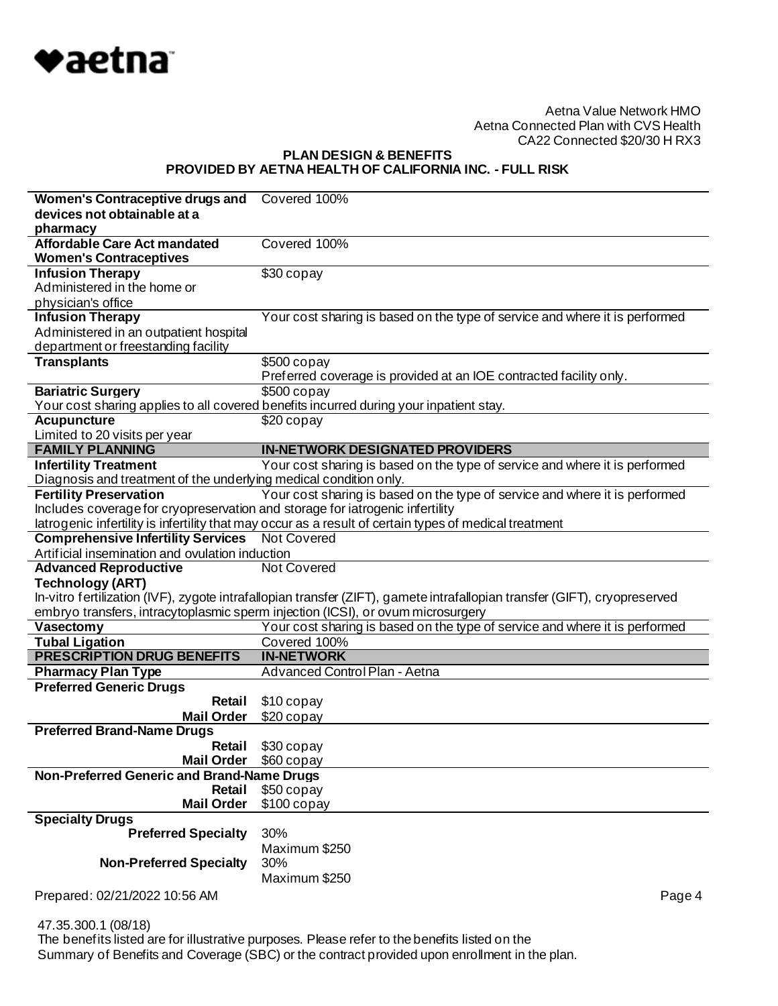

## **PLAN DESIGN & BENEFITS PROVIDED BY AETNA HEALTH OF CALIFORNIA INC. - FULL RISK**

| Women's Contraceptive drugs and                                               | Covered 100%                                                                                                              |
|-------------------------------------------------------------------------------|---------------------------------------------------------------------------------------------------------------------------|
| devices not obtainable at a                                                   |                                                                                                                           |
| pharmacy                                                                      |                                                                                                                           |
| <b>Affordable Care Act mandated</b>                                           | Covered 100%                                                                                                              |
| <b>Women's Contraceptives</b>                                                 |                                                                                                                           |
| <b>Infusion Therapy</b>                                                       | $\overline{$30}$ copay                                                                                                    |
| Administered in the home or                                                   |                                                                                                                           |
| physician's office                                                            |                                                                                                                           |
| <b>Infusion Therapy</b>                                                       | Your cost sharing is based on the type of service and where it is performed                                               |
| Administered in an outpatient hospital                                        |                                                                                                                           |
| department or freestanding facility                                           |                                                                                                                           |
| <b>Transplants</b>                                                            | $$500$ copay                                                                                                              |
|                                                                               | Preferred coverage is provided at an IOE contracted facility only.                                                        |
| <b>Bariatric Surgery</b>                                                      | $$500$ copay<br>Your cost sharing applies to all covered benefits incurred during your inpatient stay.                    |
| <b>Acupuncture</b>                                                            | $$20$ copay                                                                                                               |
| Limited to 20 visits per year                                                 |                                                                                                                           |
| <b>FAMILY PLANNING</b>                                                        | <b>IN-NETWORK DESIGNATED PROVIDERS</b>                                                                                    |
| <b>Infertility Treatment</b>                                                  | Your cost sharing is based on the type of service and where it is performed                                               |
| Diagnosis and treatment of the underlying medical condition only.             |                                                                                                                           |
| <b>Fertility Preservation</b>                                                 | Your cost sharing is based on the type of service and where it is performed                                               |
| Includes coverage for cryopreservation and storage for iatrogenic infertility |                                                                                                                           |
|                                                                               | latrogenic infertility is infertility that may occur as a result of certain types of medical treatment                    |
| <b>Comprehensive Infertility Services</b> Not Covered                         |                                                                                                                           |
| Artificial insemination and ovulation induction                               |                                                                                                                           |
|                                                                               |                                                                                                                           |
| <b>Advanced Reproductive</b>                                                  | Not Covered                                                                                                               |
| <b>Technology (ART)</b>                                                       |                                                                                                                           |
|                                                                               | In-vitro fertilization (IVF), zygote intrafallopian transfer (ZIFT), gamete intrafallopian transfer (GIFT), cryopreserved |
|                                                                               | embryo transfers, intracytoplasmic sperm injection (ICSI), or ovum microsurgery                                           |
| Vasectomy                                                                     | Your cost sharing is based on the type of service and where it is performed                                               |
| <b>Tubal Ligation</b>                                                         | Covered 100%                                                                                                              |
| <b>PRESCRIPTION DRUG BENEFITS</b>                                             | <b>IN-NETWORK</b>                                                                                                         |
| <b>Pharmacy Plan Type</b>                                                     | Advanced Control Plan - Aetna                                                                                             |
| <b>Preferred Generic Drugs</b>                                                |                                                                                                                           |
| Retail                                                                        | \$10 copay                                                                                                                |
| <b>Mail Order</b>                                                             | \$20 copay                                                                                                                |
| <b>Preferred Brand-Name Drugs</b>                                             |                                                                                                                           |
| Retail                                                                        | \$30 copay                                                                                                                |
| <b>Mail Order</b><br>Non-Preferred Generic and Brand-Name Drugs               | \$60 copay                                                                                                                |
| Retail                                                                        | \$50 copay                                                                                                                |
| <b>Mail Order</b>                                                             | $$100$ copay                                                                                                              |
| <b>Specialty Drugs</b>                                                        |                                                                                                                           |
| <b>Preferred Specialty</b>                                                    | 30%                                                                                                                       |
|                                                                               | Maximum \$250                                                                                                             |
| <b>Non-Preferred Specialty</b>                                                | 30%                                                                                                                       |
|                                                                               | Maximum \$250                                                                                                             |
| Prepared: 02/21/2022 10:56 AM                                                 | Page 4                                                                                                                    |

47.35.300.1 (08/18)

 The benefits listed are for illustrative purposes. Please refer to the benefits listed on the Summary of Benefits and Coverage (SBC) or the contract provided upon enrollment in the plan.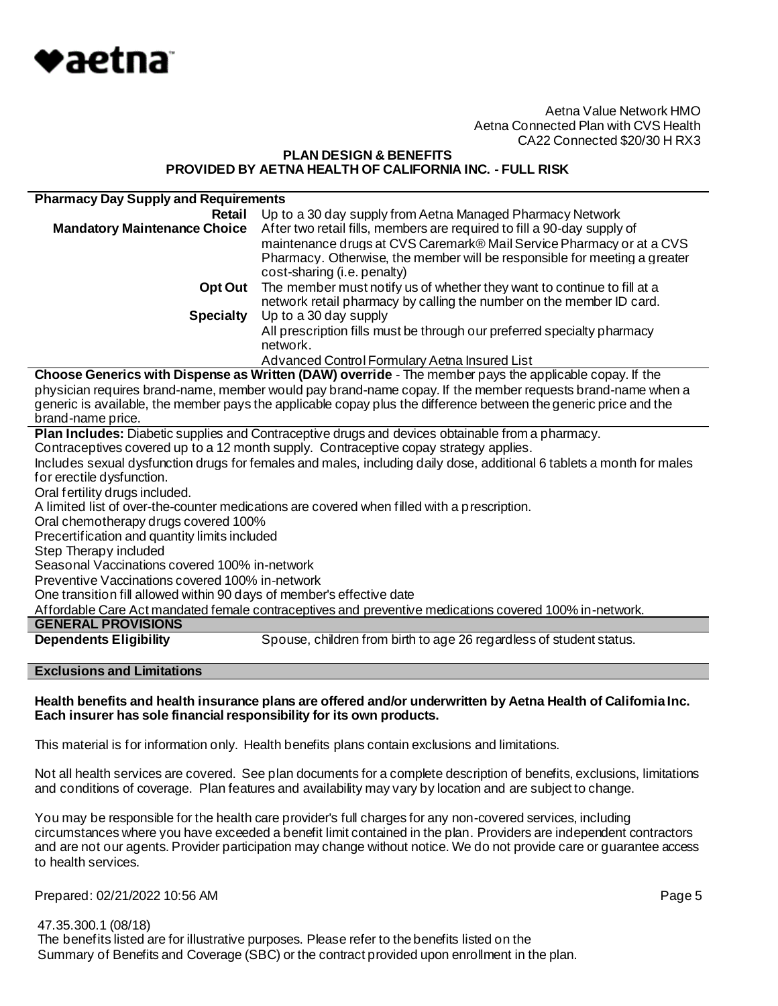

#### **PLAN DESIGN & BENEFITS PROVIDED BY AETNA HEALTH OF CALIFORNIA INC. - FULL RISK**

| <b>Pharmacy Day Supply and Requirements</b>                                                                           |                                                                           |  |
|-----------------------------------------------------------------------------------------------------------------------|---------------------------------------------------------------------------|--|
| Retail                                                                                                                | Up to a 30 day supply from Aetna Managed Pharmacy Network                 |  |
| <b>Mandatory Maintenance Choice</b>                                                                                   | After two retail fills, members are required to fill a 90-day supply of   |  |
|                                                                                                                       | maintenance drugs at CVS Caremark® Mail Service Pharmacy or at a CVS      |  |
|                                                                                                                       | Pharmacy. Otherwise, the member will be responsible for meeting a greater |  |
|                                                                                                                       | cost-sharing (i.e. penalty)                                               |  |
| Opt Out                                                                                                               | The member must notify us of whether they want to continue to fill at a   |  |
|                                                                                                                       | network retail pharmacy by calling the number on the member ID card.      |  |
| <b>Specialty</b>                                                                                                      | Up to a 30 day supply                                                     |  |
|                                                                                                                       | All prescription fills must be through our preferred specialty pharmacy   |  |
|                                                                                                                       | network.                                                                  |  |
|                                                                                                                       | Advanced Control Formulary Aetna Insured List                             |  |
| Choose Generics with Dispense as Written (DAW) override - The member pays the applicable copay. If the                |                                                                           |  |
| physician requires brand-name, member would pay brand-name copay. If the member requests brand-name when a            |                                                                           |  |
| generic is available, the member pays the applicable copay plus the difference between the generic price and the      |                                                                           |  |
| brand-name price.                                                                                                     |                                                                           |  |
| Plan Includes: Diabetic supplies and Contraceptive drugs and devices obtainable from a pharmacy.                      |                                                                           |  |
| Contraceptives covered up to a 12 month supply. Contraceptive copay strategy applies.                                 |                                                                           |  |
| Includes sexual dysfunction drugs for females and males, including daily dose, additional 6 tablets a month for males |                                                                           |  |
| for erectile dysfunction.                                                                                             |                                                                           |  |

Oral fertility drugs included.

A limited list of over-the-counter medications are covered when filled with a prescription.

Oral chemotherapy drugs covered 100%

Precertification and quantity limits included

Step Therapy included

Seasonal Vaccinations covered 100% in-network

Preventive Vaccinations covered 100% in-network

One transition fill allowed within 90 days of member's effective date

Affordable Care Act mandated female contraceptives and preventive medications covered 100% in-network.

### **GENERAL PROVISIONS**

**Dependents Eligibility** Spouse, children from birth to age 26 regardless of student status.

# **Exclusions and Limitations**

#### **Health benefits and health insurance plans are offered and/or underwritten by Aetna Health of California Inc. Each insurer has sole financial responsibility for its own products.**

This material is for information only. Health benefits plans contain exclusions and limitations.

Not all health services are covered. See plan documents for a complete description of benefits, exclusions, limitations and conditions of coverage. Plan features and availability may vary by location and are subject to change.

You may be responsible for the health care provider's full charges for any non-covered services, including circumstances where you have exceeded a benefit limit contained in the plan. Providers are independent contractors and are not our agents. Provider participation may change without notice. We do not provide care or guarantee access to health services.

Prepared: 02/21/2022 10:56 AM **Page 5** 

 47.35.300.1 (08/18) The benefits listed are for illustrative purposes. Please refer to the benefits listed on the Summary of Benefits and Coverage (SBC) or the contract provided upon enrollment in the plan.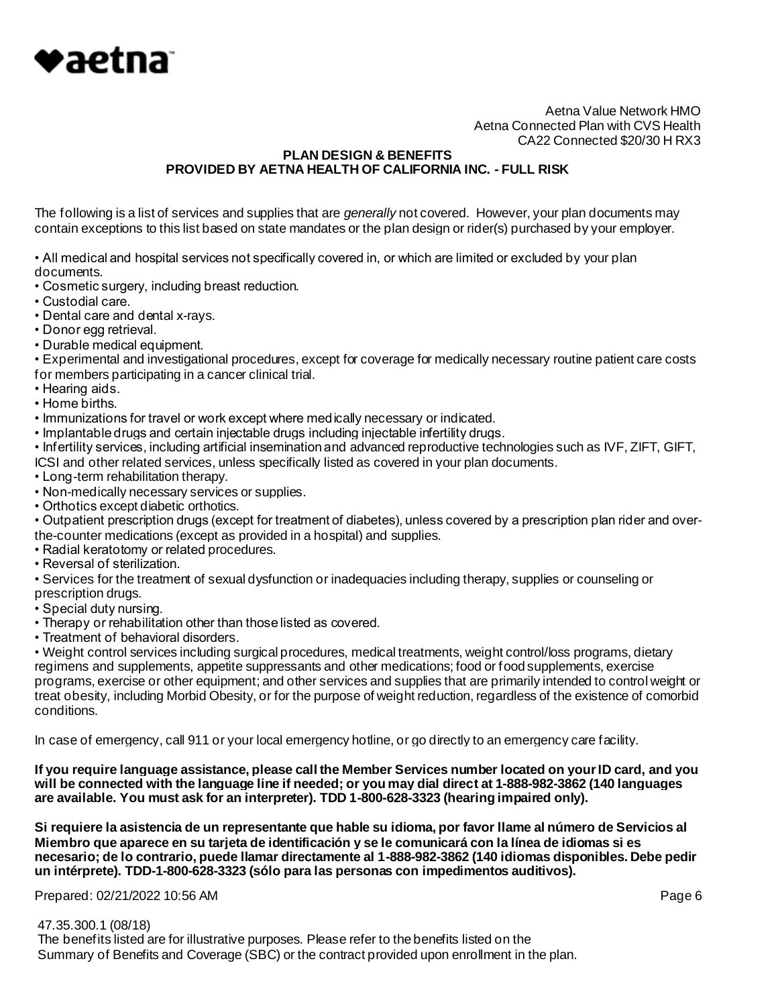

### **PLAN DESIGN & BENEFITS PROVIDED BY AETNA HEALTH OF CALIFORNIA INC. - FULL RISK**

The following is a list of services and supplies that are *generally* not covered. However, your plan documents may contain exceptions to this list based on state mandates or the plan design or rider(s) purchased by your employer.

• All medical and hospital services not specifically covered in, or which are limited or excluded by your plan documents.

• Cosmetic surgery, including breast reduction.

• Custodial care.

- Dental care and dental x-rays.
- Donor egg retrieval.
- Durable medical equipment.

• Experimental and investigational procedures, except for coverage for medically necessary routine patient care costs for members participating in a cancer clinical trial.

- Hearing aids.
- Home births.
- Immunizations for travel or work except where medically necessary or indicated.
- Implantable drugs and certain injectable drugs including injectable infertility drugs.

• Infertility services, including artificial insemination and advanced reproductive technologies such as IVF, ZIFT, GIFT,

- ICSI and other related services, unless specifically listed as covered in your plan documents.
- Long-term rehabilitation therapy.
- Non-medically necessary services or supplies.
- Orthotics except diabetic orthotics.

• Outpatient prescription drugs (except for treatment of diabetes), unless covered by a prescription plan rider and overthe-counter medications (except as provided in a hospital) and supplies.

- Radial keratotomy or related procedures.
- Reversal of sterilization.

• Services for the treatment of sexual dysfunction or inadequacies including therapy, supplies or counseling or prescription drugs.

- Special duty nursing.
- Therapy or rehabilitation other than those listed as covered.
- Treatment of behavioral disorders.

• Weight control services including surgical procedures, medical treatments, weight control/loss programs, dietary regimens and supplements, appetite suppressants and other medications; food or food supplements, exercise programs, exercise or other equipment; and other services and supplies that are primarily intended to control weight or treat obesity, including Morbid Obesity, or for the purpose of weight reduction, regardless of the existence of comorbid conditions.

In case of emergency, call 911 or your local emergency hotline, or go directly to an emergency care facility.

**If you require language assistance, please call the Member Services number located on your ID card, and you will be connected with the language line if needed; or you may dial direct at 1-888-982-3862 (140 languages are available. You must ask for an interpreter). TDD 1-800-628-3323 (hearing impaired only).**

**Si requiere la asistencia de un representante que hable su idioma, por favor llame al número de Servicios al Miembro que aparece en su tarjeta de identificación y se le comunicará con la línea de idiomas si es necesario; de lo contrario, puede llamar directamente al 1-888-982-3862 (140 idiomas disponibles. Debe pedir un intérprete). TDD-1-800-628-3323 (sólo para las personas con impedimentos auditivos).**

Prepared: 02/21/2022 10:56 AM **Page 6** 

47.35.300.1 (08/18)

 The benefits listed are for illustrative purposes. Please refer to the benefits listed on the Summary of Benefits and Coverage (SBC) or the contract provided upon enrollment in the plan.